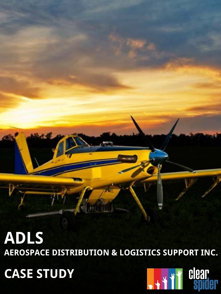#### **ADLS AEROSPACE DISTRIBUTION & LOGISTICS SUPPORT INC.**

**CASE STUDY**

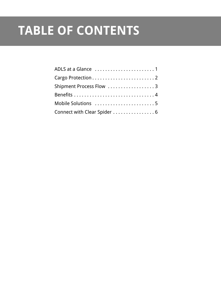#### **TABLE OF CONTENTS**

| Shipment Process Flow 3      |
|------------------------------|
|                              |
| Mobile Solutions 5           |
| Connect with Clear Spider  6 |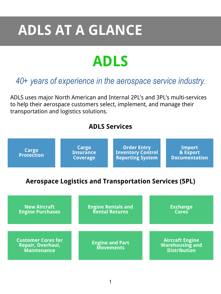# **ADLS AT A GLANCE**

### **ADLS**

#### *40+ years of experience in the aerospace service industry.*

ADLS uses major North American and Internal 2PL's and 3PL's multi-services to help their aerospace customers select, implement, and manage their transportation and logistics solutions.

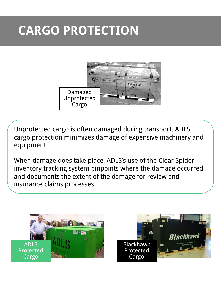#### **CARGO PROTECTION**



Unprotected cargo is often damaged during transport. ADLS cargo protection minimizes damage of expensive machinery and equipment.

When damage does take place, ADLS's use of the Clear Spider inventory tracking system pinpoints where the damage occurred and documents the extent of the damage for review and insurance claims processes.



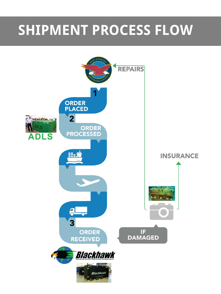## **SHIPMENT PROCESS FLOW**

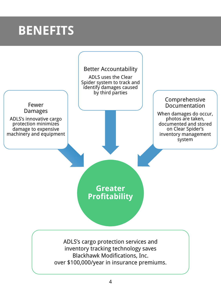#### **BENEFITS**

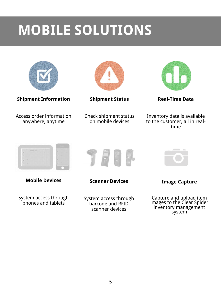## **MOBILE SOLUTIONS**



**Shipment Information**

Access order information anywhere, anytime



**Shipment Status**

Check shipment status on mobile devices



**Real-Time Data**

Inventory data is available to the customer, all in realtime



**Mobile Devices**

System access through phones and tablets



**Scanner Devices**

System access through barcode and RFID scanner devices



**Image Capture**

Capture and upload item images to the Clear Spider inventory management system